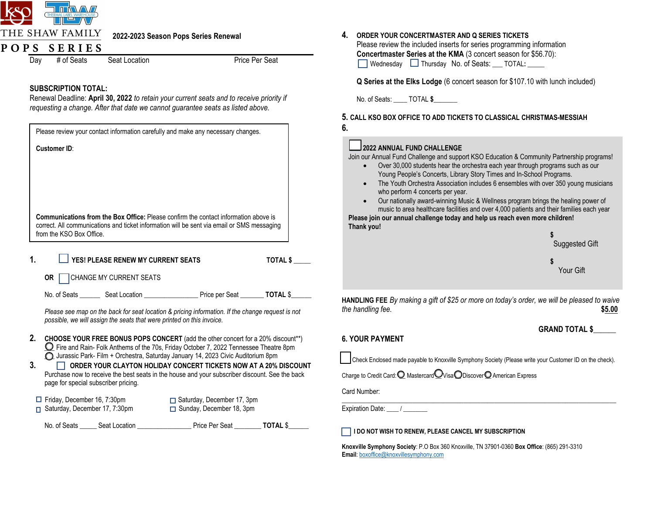

# **2022-2023 Season Pops Series Renewal**

# POPS SERIES

Day # of Seats Seat Location **Price Per Seat** 

## **SUBSCRIPTION TOTAL:**

Renewal Deadline: **April 30, 2022** *to retain your current seats and to receive priority if requesting a change. After that date we cannot guarantee seats as listed above.*

|                                      |                                    | Please review your contact information carefully and make any necessary changes.                                                                                                   |                 |
|--------------------------------------|------------------------------------|------------------------------------------------------------------------------------------------------------------------------------------------------------------------------------|-----------------|
| <b>Customer ID:</b>                  |                                    |                                                                                                                                                                                    |                 |
|                                      |                                    |                                                                                                                                                                                    |                 |
|                                      |                                    |                                                                                                                                                                                    |                 |
|                                      |                                    |                                                                                                                                                                                    |                 |
|                                      |                                    | <b>Communications from the Box Office:</b> Please confirm the contact information above is                                                                                         |                 |
| from the KSO Box Office.             |                                    | correct. All communications and ticket information will be sent via email or SMS messaging                                                                                         |                 |
|                                      |                                    |                                                                                                                                                                                    |                 |
| 1.                                   | YES! PLEASE RENEW MY CURRENT SEATS |                                                                                                                                                                                    | <b>TOTAL \$</b> |
| OR CHANGE MY CURRENT SEATS           |                                    |                                                                                                                                                                                    |                 |
|                                      |                                    |                                                                                                                                                                                    |                 |
|                                      |                                    | Please see map on the back for seat location & pricing information. If the change request is not<br>possible, we will assign the seats that were printed on this invoice.          |                 |
| 2.                                   |                                    | CHOOSE YOUR FREE BONUS POPS CONCERT (add the other concert for a 20% discount**)                                                                                                   |                 |
|                                      |                                    | $\Omega$ Fire and Rain- Folk Anthems of the 70s, Friday October 7, 2022 Tennessee Theatre 8pm<br>O Jurassic Park- Film + Orchestra, Saturday January 14, 2023 Civic Auditorium 8pm |                 |
| 3.                                   |                                    | ORDER YOUR CLAYTON HOLIDAY CONCERT TICKETS NOW AT A 20% DISCOUNT<br>Purchase now to receive the best seats in the house and your subscriber discount. See the back                 |                 |
| page for special subscriber pricing. |                                    |                                                                                                                                                                                    |                 |
| $\Box$ Friday, December 16, 7:30pm   |                                    | □ Saturday, December 17, 3pm                                                                                                                                                       |                 |
| Saturday, December 17, 7:30pm<br>п.  |                                    | Sunday, December 18, 3pm                                                                                                                                                           |                 |
|                                      |                                    |                                                                                                                                                                                    |                 |

### **4. ORDER YOUR CONCERTMASTER AND Q SERIES TICKETS**

Please review the included inserts for series programming information **Concertmaster Series at the KMA** (3 concert season for \$56.70): Wednesday **Thursday No. of Seats:** TOTAL:

**Q Series at the Elks Lodge** (6 concert season for \$107.10 with lunch included)

No. of Seats: TOTAL \$

**5. CALL KSO BOX OFFICE TO ADD TICKETS TO CLASSICAL CHRISTMAS-MESSIAH 6.** 

### **2022 ANNUAL FUND CHALLENGE**

Join our Annual Fund Challenge and support KSO Education & Community Partnership programs!

- Over 30,000 students hear the orchestra each year through programs such as our Young People's Concerts, Library Story Times and In-School Programs.
- The Youth Orchestra Association includes 6 ensembles with over 350 young musicians who perform 4 concerts per year.
- Our nationally award-winning Music & Wellness program brings the healing power of music to area healthcare facilities and over 4,000 patients and their families each year

 **Thank you! Please join our annual challenge today and help us reach even more children!**



**HANDLING FEE** *By making a gift of \$25 or more on today's order, we will be pleased to waive the handling fee.* **\$5.00** 

# **6. YOUR PAYMENT**

**GRAND TOTAL \$\_\_\_\_\_\_**

**\_\_** Check Enclosed made payable to Knoxville Symphony Society (Please write your Customer ID on the check).

Charge to Credit Card:  $Q$  Mastercard  $Q$  Visa  $Q$  Discover  $Q$  American Express

Card Number:

 $\mathcal{L}_\mathcal{L} = \{ \mathcal{L}_\mathcal{L} = \{ \mathcal{L}_\mathcal{L} = \{ \mathcal{L}_\mathcal{L} = \{ \mathcal{L}_\mathcal{L} = \{ \mathcal{L}_\mathcal{L} = \{ \mathcal{L}_\mathcal{L} = \{ \mathcal{L}_\mathcal{L} = \{ \mathcal{L}_\mathcal{L} = \{ \mathcal{L}_\mathcal{L} = \{ \mathcal{L}_\mathcal{L} = \{ \mathcal{L}_\mathcal{L} = \{ \mathcal{L}_\mathcal{L} = \{ \mathcal{L}_\mathcal{L} = \{ \mathcal{L}_\mathcal{$ Expiration Date:

**I DO NOT WISH TO RENEW, PLEASE CANCEL MY SUBSCRIPTION**

**Knoxville Symphony Society**: P.O Box 360 Knoxville, TN 37901-0360 **Box Office**: (865) 291-3310 **Email**[: boxoffice@knoxvillesymphony.com](mailto:boxoffice@knoxvillesymphony.com)